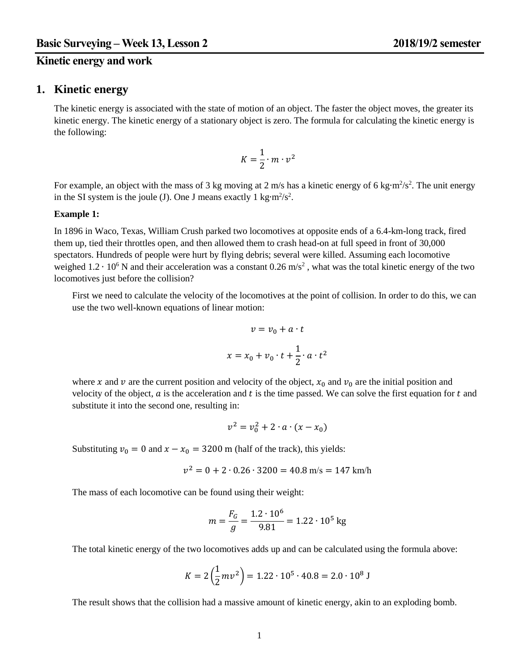# **Kinetic energy and work**

### **1. Kinetic energy**

The kinetic energy is associated with the state of motion of an object. The faster the object moves, the greater its kinetic energy. The kinetic energy of a stationary object is zero. The formula for calculating the kinetic energy is the following:

$$
K=\frac{1}{2}\cdot m\cdot \nu^2
$$

For example, an object with the mass of 3 kg moving at 2 m/s has a kinetic energy of 6 kg⋅m<sup>2</sup>/s<sup>2</sup>. The unit energy in the SI system is the joule (J). One J means exactly 1 kg⋅m<sup>2</sup>/s<sup>2</sup>.

#### **Example 1:**

In 1896 in Waco, Texas, William Crush parked two locomotives at opposite ends of a 6.4-km-long track, fired them up, tied their throttles open, and then allowed them to crash head-on at full speed in front of 30,000 spectators. Hundreds of people were hurt by flying debris; several were killed. Assuming each locomotive weighed  $1.2 \cdot 10^6$  N and their acceleration was a constant 0.26 m/s<sup>2</sup>, what was the total kinetic energy of the two locomotives just before the collision?

First we need to calculate the velocity of the locomotives at the point of collision. In order to do this, we can use the two well-known equations of linear motion:

$$
v = v_0 + a \cdot t
$$

$$
x = x_0 + v_0 \cdot t + \frac{1}{2} \cdot a \cdot t^2
$$

where x and v are the current position and velocity of the object,  $x_0$  and  $v_0$  are the initial position and velocity of the object,  $\alpha$  is the acceleration and  $t$  is the time passed. We can solve the first equation for  $t$  and substitute it into the second one, resulting in:

$$
v^2 = v_0^2 + 2 \cdot a \cdot (x - x_0)
$$

Substituting  $v_0 = 0$  and  $x - x_0 = 3200$  m (half of the track), this yields:

$$
v^2 = 0 + 2 \cdot 0.26 \cdot 3200 = 40.8 \text{ m/s} = 147 \text{ km/h}
$$

The mass of each locomotive can be found using their weight:

$$
m = \frac{F_G}{g} = \frac{1.2 \cdot 10^6}{9.81} = 1.22 \cdot 10^5 \text{ kg}
$$

The total kinetic energy of the two locomotives adds up and can be calculated using the formula above:

$$
K = 2\left(\frac{1}{2}mv^2\right) = 1.22 \cdot 10^5 \cdot 40.8 = 2.0 \cdot 10^8 \text{ J}
$$

The result shows that the collision had a massive amount of kinetic energy, akin to an exploding bomb.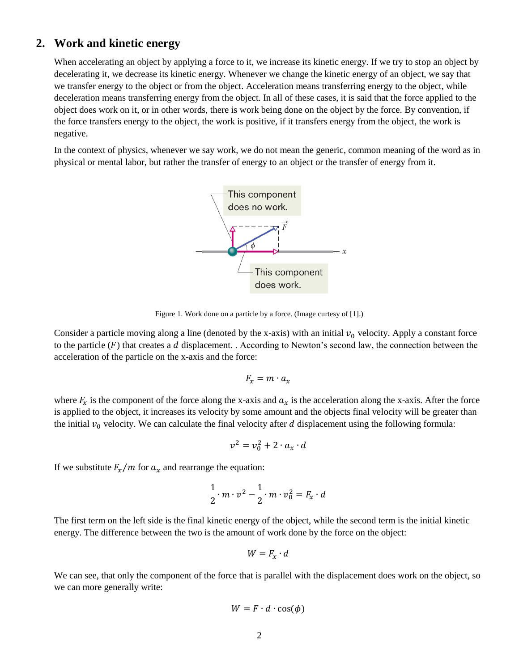# **2. Work and kinetic energy**

When accelerating an object by applying a force to it, we increase its kinetic energy. If we try to stop an object by decelerating it, we decrease its kinetic energy. Whenever we change the kinetic energy of an object, we say that we transfer energy to the object or from the object. Acceleration means transferring energy to the object, while deceleration means transferring energy from the object. In all of these cases, it is said that the force applied to the object does work on it, or in other words, there is work being done on the object by the force. By convention, if the force transfers energy to the object, the work is positive, if it transfers energy from the object, the work is negative.

In the context of physics, whenever we say work, we do not mean the generic, common meaning of the word as in physical or mental labor, but rather the transfer of energy to an object or the transfer of energy from it.



Figure 1. Work done on a particle by a force. (Image curtesy of [1].)

Consider a particle moving along a line (denoted by the x-axis) with an initial  $v_0$  velocity. Apply a constant force to the particle  $(F)$  that creates a d displacement. . According to Newton's second law, the connection between the acceleration of the particle on the x-axis and the force:

$$
F_x = m \cdot a_x
$$

where  $F_x$  is the component of the force along the x-axis and  $a_x$  is the acceleration along the x-axis. After the force is applied to the object, it increases its velocity by some amount and the objects final velocity will be greater than the initial  $v_0$  velocity. We can calculate the final velocity after  $d$  displacement using the following formula:

$$
v^2 = v_0^2 + 2 \cdot a_x \cdot d
$$

If we substitute  $F_x/m$  for  $a_x$  and rearrange the equation:

$$
\frac{1}{2} \cdot m \cdot v^2 - \frac{1}{2} \cdot m \cdot v_0^2 = F_x \cdot d
$$

The first term on the left side is the final kinetic energy of the object, while the second term is the initial kinetic energy. The difference between the two is the amount of work done by the force on the object:

$$
W = F_x \cdot d
$$

We can see, that only the component of the force that is parallel with the displacement does work on the object, so we can more generally write:

$$
W = F \cdot d \cdot \cos(\phi)
$$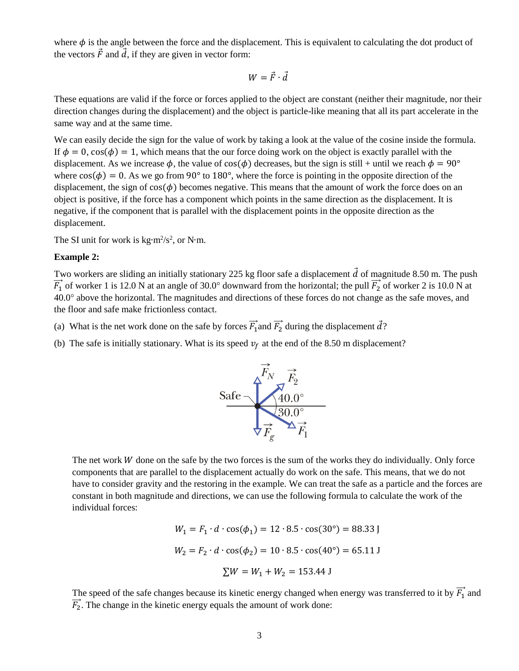where  $\phi$  is the angle between the force and the displacement. This is equivalent to calculating the dot product of the vectors  $\vec{F}$  and  $\vec{d}$ , if they are given in vector form:

$$
W = \vec{F} \cdot \vec{d}
$$

These equations are valid if the force or forces applied to the object are constant (neither their magnitude, nor their direction changes during the displacement) and the object is particle-like meaning that all its part accelerate in the same way and at the same time.

We can easily decide the sign for the value of work by taking a look at the value of the cosine inside the formula. If  $\phi = 0$ ,  $\cos(\phi) = 1$ , which means that the our force doing work on the object is exactly parallel with the displacement. As we increase  $\phi$ , the value of  $cos(\phi)$  decreases, but the sign is still + until we reach  $\phi = 90^{\circ}$ where  $cos(\phi) = 0$ . As we go from 90° to 180°, where the force is pointing in the opposite direction of the displacement, the sign of  $cos(\phi)$  becomes negative. This means that the amount of work the force does on an object is positive, if the force has a component which points in the same direction as the displacement. It is negative, if the component that is parallel with the displacement points in the opposite direction as the displacement.

The SI unit for work is kg⋅m<sup>2</sup>/s<sup>2</sup>, or N⋅m.

#### **Example 2:**

Two workers are sliding an initially stationary 225 kg floor safe a displacement  $\vec{d}$  of magnitude 8.50 m. The push  $\vec{F_1}$  of worker 1 is 12.0 N at an angle of 30.0° downward from the horizontal; the pull  $\vec{F_2}$  of worker 2 is 10.0 N at 40.0° above the horizontal. The magnitudes and directions of these forces do not change as the safe moves, and the floor and safe make frictionless contact.

- (a) What is the net work done on the safe by forces  $\vec{F_1}$  and  $\vec{F_2}$  during the displacement  $\vec{d}$ ?
- (b) The safe is initially stationary. What is its speed  $v_f$  at the end of the 8.50 m displacement?



The net work  $W$  done on the safe by the two forces is the sum of the works they do individually. Only force components that are parallel to the displacement actually do work on the safe. This means, that we do not have to consider gravity and the restoring in the example. We can treat the safe as a particle and the forces are constant in both magnitude and directions, we can use the following formula to calculate the work of the individual forces:

$$
W_1 = F_1 \cdot d \cdot \cos(\phi_1) = 12 \cdot 8.5 \cdot \cos(30^\circ) = 88.33 \text{ J}
$$

$$
W_2 = F_2 \cdot d \cdot \cos(\phi_2) = 10 \cdot 8.5 \cdot \cos(40^\circ) = 65.11 \text{ J}
$$

$$
\Sigma W = W_1 + W_2 = 153.44 \text{ J}
$$

The speed of the safe changes because its kinetic energy changed when energy was transferred to it by  $\overrightarrow{F_1}$  and  $\overrightarrow{F_2}$ . The change in the kinetic energy equals the amount of work done: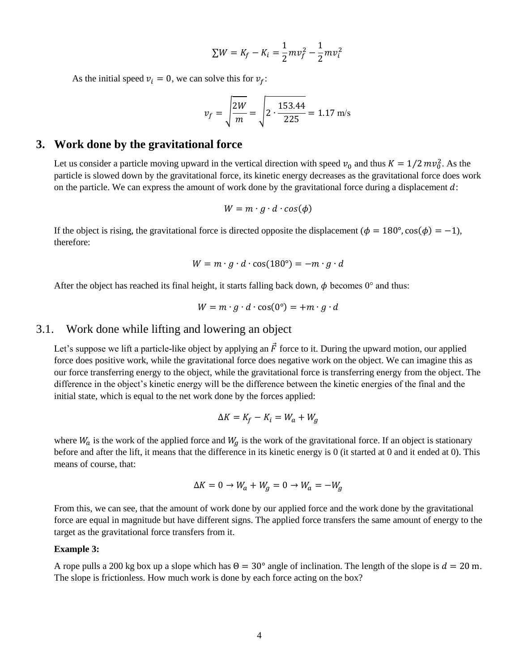$$
\sum W = K_f - K_i = \frac{1}{2} m v_f^2 - \frac{1}{2} m v_i^2
$$

As the initial speed  $v_i = 0$ , we can solve this for  $v_f$ :

$$
v_f = \sqrt{\frac{2W}{m}} = \sqrt{2 \cdot \frac{153.44}{225}} = 1.17 \text{ m/s}
$$

## **3. Work done by the gravitational force**

Let us consider a particle moving upward in the vertical direction with speed  $v_0$  and thus  $K = 1/2 mv_0^2$ . As the particle is slowed down by the gravitational force, its kinetic energy decreases as the gravitational force does work on the particle. We can express the amount of work done by the gravitational force during a displacement  $d$ :

$$
W = m \cdot g \cdot d \cdot cos(\phi)
$$

If the object is rising, the gravitational force is directed opposite the displacement ( $\phi = 180^{\circ}$ , cos( $\phi$ ) = -1), therefore:

$$
W = m \cdot g \cdot d \cdot \cos(180^\circ) = -m \cdot g \cdot d
$$

After the object has reached its final height, it starts falling back down,  $\phi$  becomes 0° and thus:

$$
W = m \cdot g \cdot d \cdot \cos(0^\circ) = +m \cdot g \cdot d
$$

### 3.1. Work done while lifting and lowering an object

Let's suppose we lift a particle-like object by applying an  $\vec{F}$  force to it. During the upward motion, our applied force does positive work, while the gravitational force does negative work on the object. We can imagine this as our force transferring energy to the object, while the gravitational force is transferring energy from the object. The difference in the object's kinetic energy will be the difference between the kinetic energies of the final and the initial state, which is equal to the net work done by the forces applied:

$$
\Delta K = K_f - K_i = W_a + W_g
$$

where  $W_a$  is the work of the applied force and  $W_g$  is the work of the gravitational force. If an object is stationary before and after the lift, it means that the difference in its kinetic energy is 0 (it started at 0 and it ended at 0). This means of course, that:

$$
\Delta K = 0 \rightarrow W_a + W_g = 0 \rightarrow W_a = -W_g
$$

From this, we can see, that the amount of work done by our applied force and the work done by the gravitational force are equal in magnitude but have different signs. The applied force transfers the same amount of energy to the target as the gravitational force transfers from it.

#### **Example 3:**

A rope pulls a 200 kg box up a slope which has  $\Theta = 30^{\circ}$  angle of inclination. The length of the slope is  $d = 20$  m. The slope is frictionless. How much work is done by each force acting on the box?